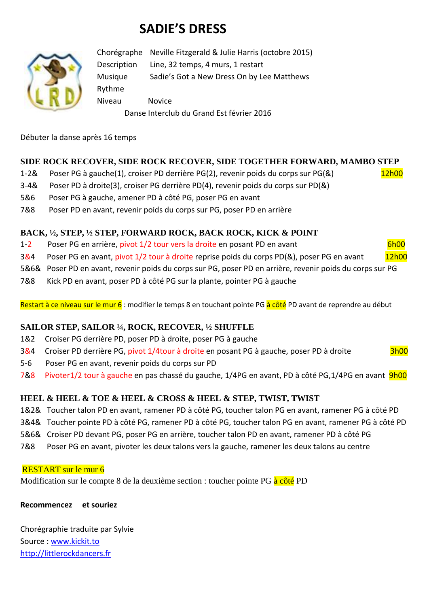# **SADIE'S DRESS**



Chorégraphe Neville Fitzgerald & Julie Harris (octobre 2015) Description Line, 32 temps, 4 murs, 1 restart Musique Sadie's Got a New Dress On by Lee Matthews Rythme Niveau Novice Danse Interclub du Grand Est février 2016

Débuter la danse après 16 temps

# **SIDE ROCK RECOVER, SIDE ROCK RECOVER, SIDE TOGETHER FORWARD, MAMBO STEP**

1-2& Poser PG à gauche(1), croiser PD derrière PG(2), revenir poids du corps sur PG(&) 12h00

- 3-4& Poser PD à droite(3), croiser PG derrière PD(4), revenir poids du corps sur PD(&)
- 5&6 Poser PG à gauche, amener PD à côté PG, poser PG en avant
- 7&8 Poser PD en avant, revenir poids du corps sur PG, poser PD en arrière

# **BACK, ½, STEP, ½ STEP, FORWARD ROCK, BACK ROCK, KICK & POINT**

- 1-2 Poser PG en arrière, pivot 1/2 tour vers la droite en posant PD en avant en une source of the 6h00
- 3&4 Poser PG en avant, pivot 1/2 tour à droite reprise poids du corps PD(&), poser PG en avant 12h00
- 5&6& Poser PD en avant, revenir poids du corps sur PG, poser PD en arrière, revenir poids du corps sur PG
- 7&8 Kick PD en avant, poser PD à côté PG sur la plante, pointer PG à gauche

Restart à ce niveau sur le mur 6 : modifier le temps 8 en touchant pointe PG à côté PD avant de reprendre au début

# **SAILOR STEP, SAILOR ¼, ROCK, RECOVER, ½ SHUFFLE**

- 1&2 Croiser PG derrière PD, poser PD à droite, poser PG à gauche
- 3&4 Croiser PD derrière PG, pivot 1/4tour à droite en posant PG à gauche, poser PD à droite 3h00
- 5-6 Poser PG en avant, revenir poids du corps sur PD
- 7&8 Pivoter1/2 tour à gauche en pas chassé du gauche, 1/4PG en avant, PD à côté PG,1/4PG en avant 9h00

# **HEEL & HEEL & TOE & HEEL & CROSS & HEEL & STEP, TWIST, TWIST**

- 1&2& Toucher talon PD en avant, ramener PD à côté PG, toucher talon PG en avant, ramener PG à côté PD
- 3&4& Toucher pointe PD à côté PG, ramener PD à côté PG, toucher talon PG en avant, ramener PG à côté PD
- 5&6& Croiser PD devant PG, poser PG en arrière, toucher talon PD en avant, ramener PD à côté PG
- 7&8 Poser PG en avant, pivoter les deux talons vers la gauche, ramener les deux talons au centre

## RESTART sur le mur 6

Modification sur le compte 8 de la deuxième section : toucher pointe PG à côté PD

## **Recommencez et souriez**

Chorégraphie traduite par Sylvie Source : [www.kickit.to](http://www.kickit.to/) [http://littlerockdancers.fr](http://littlerockdancers.fr/)